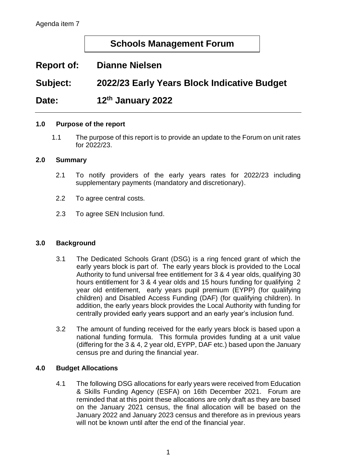## **Schools Management Forum**

# **Report of: Dianne Nielsen**

**Subject: 2022/23 Early Years Block Indicative Budget**

**Date: th January 2022**

#### **1.0 Purpose of the report**

1.1 The purpose of this report is to provide an update to the Forum on unit rates for 2022/23.

#### **2.0 Summary**

- 2.1 To notify providers of the early years rates for 2022/23 including supplementary payments (mandatory and discretionary).
- 2.2 To agree central costs.
- 2.3 To agree SEN Inclusion fund.

#### **3.0 Background**

- 3.1 The Dedicated Schools Grant (DSG) is a ring fenced grant of which the early years block is part of. The early years block is provided to the Local Authority to fund universal free entitlement for 3 & 4 year olds, qualifying 30 hours entitlement for 3 & 4 year olds and 15 hours funding for qualifying 2 year old entitlement, early years pupil premium (EYPP) (for qualifying children) and Disabled Access Funding (DAF) (for qualifying children). In addition, the early years block provides the Local Authority with funding for centrally provided early years support and an early year's inclusion fund.
- 3.2 The amount of funding received for the early years block is based upon a national funding formula. This formula provides funding at a unit value (differing for the 3 & 4, 2 year old, EYPP, DAF etc.) based upon the January census pre and during the financial year.

#### **4.0 Budget Allocations**

4.1 The following DSG allocations for early years were received from Education & Skills Funding Agency (ESFA) on 16th December 2021. Forum are reminded that at this point these allocations are only draft as they are based on the January 2021 census, the final allocation will be based on the January 2022 and January 2023 census and therefore as in previous years will not be known until after the end of the financial year.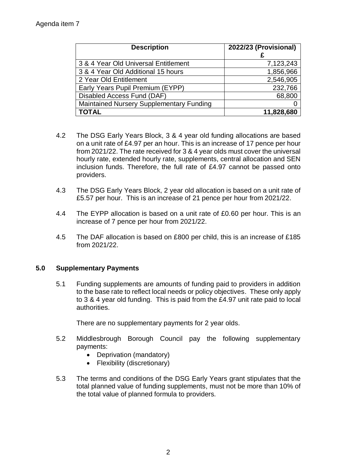| <b>Description</b>                              | 2022/23 (Provisional) |
|-------------------------------------------------|-----------------------|
| 3 & 4 Year Old Universal Entitlement            | 7,123,243             |
| 3 & 4 Year Old Additional 15 hours              | 1,856,966             |
| 2 Year Old Entitlement                          | 2,546,905             |
| Early Years Pupil Premium (EYPP)                | 232,766               |
| Disabled Access Fund (DAF)                      | 68,800                |
| <b>Maintained Nursery Supplementary Funding</b> |                       |
| <b>TOTAL</b>                                    | 11,828,680            |

- 4.2 The DSG Early Years Block, 3 & 4 year old funding allocations are based on a unit rate of £4.97 per an hour. This is an increase of 17 pence per hour from 2021/22. The rate received for 3 & 4 year olds must cover the universal hourly rate, extended hourly rate, supplements, central allocation and SEN inclusion funds. Therefore, the full rate of £4.97 cannot be passed onto providers.
- 4.3 The DSG Early Years Block, 2 year old allocation is based on a unit rate of £5.57 per hour. This is an increase of 21 pence per hour from 2021/22.
- 4.4 The EYPP allocation is based on a unit rate of £0.60 per hour. This is an increase of 7 pence per hour from 2021/22.
- 4.5 The DAF allocation is based on £800 per child, this is an increase of £185 from 2021/22.

## **5.0 Supplementary Payments**

5.1 Funding supplements are amounts of funding paid to providers in addition to the base rate to reflect local needs or policy objectives. These only apply to 3 & 4 year old funding. This is paid from the £4.97 unit rate paid to local authorities.

There are no supplementary payments for 2 year olds.

- 5.2 Middlesbrough Borough Council pay the following supplementary payments:
	- Deprivation (mandatory)
	- Flexibility (discretionary)
- 5.3 The terms and conditions of the DSG Early Years grant stipulates that the total planned value of funding supplements, must not be more than 10% of the total value of planned formula to providers.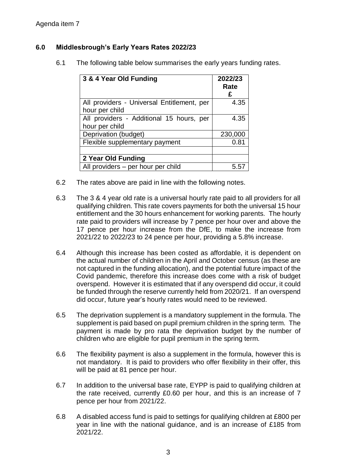## **6.0 Middlesbrough's Early Years Rates 2022/23**

6.1 The following table below summarises the early years funding rates.

| 3 & 4 Year Old Funding                                       | 2022/23<br>Rate<br>£ |
|--------------------------------------------------------------|----------------------|
| All providers - Universal Entitlement, per<br>hour per child | 4.35                 |
| All providers - Additional 15 hours, per<br>hour per child   | 4.35                 |
| Deprivation (budget)                                         | 230,000              |
| Flexible supplementary payment                               | 0.81                 |
| 2 Year Old Funding                                           |                      |
| All providers – per hour per child                           | 5.5                  |

- 6.2 The rates above are paid in line with the following notes.
- 6.3 The 3 & 4 year old rate is a universal hourly rate paid to all providers for all qualifying children. This rate covers payments for both the universal 15 hour entitlement and the 30 hours enhancement for working parents. The hourly rate paid to providers will increase by 7 pence per hour over and above the 17 pence per hour increase from the DfE, to make the increase from 2021/22 to 2022/23 to 24 pence per hour, providing a 5.8% increase.
- 6.4 Although this increase has been costed as affordable, it is dependent on the actual number of children in the April and October census (as these are not captured in the funding allocation), and the potential future impact of the Covid pandemic, therefore this increase does come with a risk of budget overspend. However it is estimated that if any overspend did occur, it could be funded through the reserve currently held from 2020/21. If an overspend did occur, future year's hourly rates would need to be reviewed.
- 6.5 The deprivation supplement is a mandatory supplement in the formula. The supplement is paid based on pupil premium children in the spring term. The payment is made by pro rata the deprivation budget by the number of children who are eligible for pupil premium in the spring term.
- 6.6 The flexibility payment is also a supplement in the formula, however this is not mandatory. It is paid to providers who offer flexibility in their offer, this will be paid at 81 pence per hour.
- 6.7 In addition to the universal base rate, EYPP is paid to qualifying children at the rate received, currently £0.60 per hour, and this is an increase of 7 pence per hour from 2021/22.
- 6.8 A disabled access fund is paid to settings for qualifying children at £800 per year in line with the national guidance, and is an increase of £185 from 2021/22.